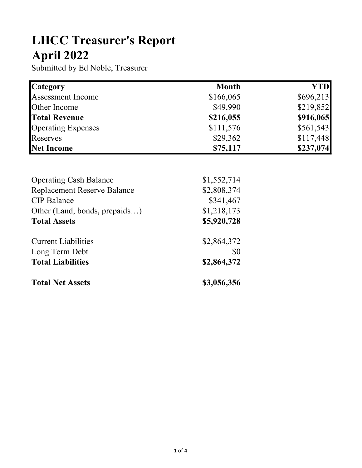## LHCC Treasurer's Report April 2022

Submitted by Ed Noble, Treasurer

| <b>Category</b>           | <b>Month</b> | YTD       |
|---------------------------|--------------|-----------|
| <b>Assessment Income</b>  | \$166,065    | \$696,213 |
| Other Income              | \$49,990     | \$219,852 |
| <b>Total Revenue</b>      | \$216,055    | \$916,065 |
| <b>Operating Expenses</b> | \$111,576    | \$561,543 |
| Reserves                  | \$29,362     | \$117,448 |
| <b>Net Income</b>         | \$75,117     | \$237,074 |

| <b>Operating Cash Balance</b>      | \$1,552,714 |
|------------------------------------|-------------|
| <b>Replacement Reserve Balance</b> | \$2,808,374 |
| <b>CIP</b> Balance                 | \$341,467   |
| Other (Land, bonds, prepaids)      | \$1,218,173 |
| <b>Total Assets</b>                | \$5,920,728 |
| <b>Current Liabilities</b>         | \$2,864,372 |
| Long Term Debt                     | \$0         |
| <b>Total Liabilities</b>           | \$2,864,372 |
| <b>Total Net Assets</b>            | \$3,056,356 |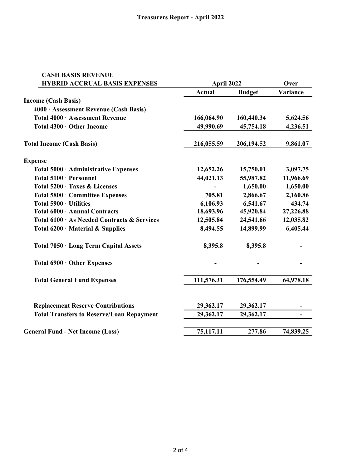| <b>CASH BASIS REVENUE</b>                        |               |               |           |
|--------------------------------------------------|---------------|---------------|-----------|
| <b>HYBRID ACCRUAL BASIS EXPENSES</b>             |               | April 2022    |           |
|                                                  | <b>Actual</b> | <b>Budget</b> | Variance  |
| <b>Income (Cash Basis)</b>                       |               |               |           |
| 4000 · Assessment Revenue (Cash Basis)           |               |               |           |
| Total 4000 · Assessment Revenue                  | 166,064.90    | 160,440.34    | 5,624.56  |
| Total 4300 · Other Income                        | 49,990.69     | 45,754.18     | 4,236.51  |
| <b>Total Income (Cash Basis)</b>                 | 216,055.59    | 206,194.52    | 9,861.07  |
| <b>Expense</b>                                   |               |               |           |
| Total 5000 · Administrative Expenses             | 12,652.26     | 15,750.01     | 3,097.75  |
| Total 5100 · Personnel                           | 44,021.13     | 55,987.82     | 11,966.69 |
| Total 5200 · Taxes & Licenses                    |               | 1,650.00      | 1,650.00  |
| Total 5800 · Committee Expenses                  | 705.81        | 2,866.67      | 2,160.86  |
| Total 5900 · Utilities                           | 6,106.93      | 6,541.67      | 434.74    |
| Total 6000 · Annual Contracts                    | 18,693.96     | 45,920.84     | 27,226.88 |
| Total 6100 · As Needed Contracts & Services      | 12,505.84     | 24,541.66     | 12,035.82 |
| Total $6200 \cdot$ Material & Supplies           | 8,494.55      | 14,899.99     | 6,405.44  |
| Total 7050 · Long Term Capital Assets            | 8,395.8       | 8,395.8       |           |
| Total 6900 · Other Expenses                      |               |               |           |
| <b>Total General Fund Expenses</b>               | 111,576.31    | 176,554.49    | 64,978.18 |
| <b>Replacement Reserve Contributions</b>         | 29,362.17     | 29,362.17     |           |
| <b>Total Transfers to Reserve/Loan Repayment</b> | 29,362.17     | 29,362.17     |           |
|                                                  |               |               |           |
| <b>General Fund - Net Income (Loss)</b>          | 75,117.11     | 277.86        | 74,839.25 |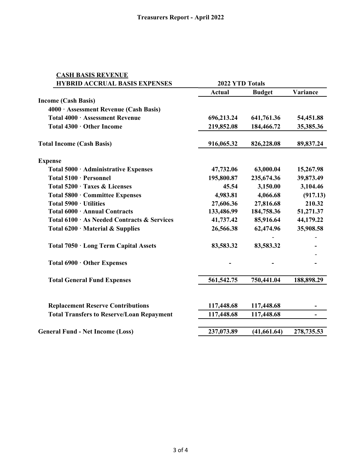| <b>CASH BASIS REVENUE</b>                        |                 |               |               |
|--------------------------------------------------|-----------------|---------------|---------------|
| <b>HYBRID ACCRUAL BASIS EXPENSES</b>             | 2022 YTD Totals |               |               |
|                                                  | <b>Actual</b>   | <b>Budget</b> | Variance      |
| <b>Income (Cash Basis)</b>                       |                 |               |               |
| 4000 · Assessment Revenue (Cash Basis)           |                 |               |               |
| Total 4000 · Assessment Revenue                  | 696,213.24      | 641,761.36    | 54,451.88     |
| Total 4300 · Other Income                        | 219,852.08      | 184,466.72    | 35,385.36     |
| <b>Total Income (Cash Basis)</b>                 | 916,065.32      | 826,228.08    | 89,837.24     |
| <b>Expense</b>                                   |                 |               |               |
| Total 5000 · Administrative Expenses             | 47,732.06       | 63,000.04     | 15,267.98     |
| Total 5100 · Personnel                           | 195,800.87      | 235,674.36    | 39,873.49     |
| Total 5200 · Taxes & Licenses                    | 45.54           | 3,150.00      | 3,104.46      |
| Total 5800 · Committee Expenses                  | 4,983.81        | 4,066.68      | (917.13)      |
| Total 5900 · Utilities                           | 27,606.36       | 27,816.68     | 210.32        |
| Total 6000 · Annual Contracts                    | 133,486.99      | 184,758.36    | 51,271.37     |
| Total 6100 · As Needed Contracts & Services      | 41,737.42       | 85,916.64     | 44,179.22     |
| Total $6200 \cdot$ Material & Supplies           | 26,566.38       | 62,474.96     | 35,908.58     |
| Total 7050 · Long Term Capital Assets            | 83,583.32       | 83,583.32     |               |
| Total 6900 · Other Expenses                      |                 |               |               |
| <b>Total General Fund Expenses</b>               | 561, 542. 75    | 750,441.04    | 188,898.29    |
| <b>Replacement Reserve Contributions</b>         | 117,448.68      | 117,448.68    |               |
| <b>Total Transfers to Reserve/Loan Repayment</b> | 117,448.68      | 117,448.68    | $\frac{1}{2}$ |
| <b>General Fund - Net Income (Loss)</b>          | 237,073.89      | (41, 661.64)  | 278,735.53    |